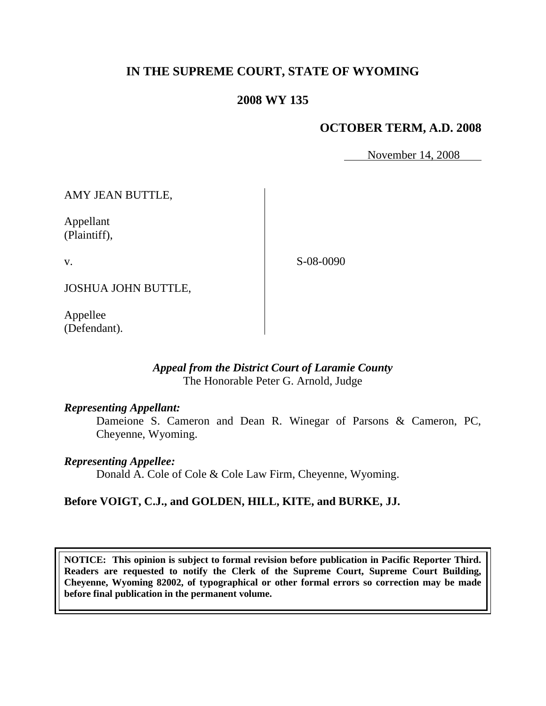# **IN THE SUPREME COURT, STATE OF WYOMING**

# **2008 WY 135**

# **OCTOBER TERM, A.D. 2008**

November 14, 2008

AMY JEAN BUTTLE,

Appellant (Plaintiff),

v.

S-08-0090

JOSHUA JOHN BUTTLE,

Appellee (Defendant).

### *Appeal from the District Court of Laramie County* The Honorable Peter G. Arnold, Judge

#### *Representing Appellant:*

Dameione S. Cameron and Dean R. Winegar of Parsons & Cameron, PC, Cheyenne, Wyoming.

#### *Representing Appellee:*

Donald A. Cole of Cole & Cole Law Firm, Cheyenne, Wyoming.

### **Before VOIGT, C.J., and GOLDEN, HILL, KITE, and BURKE, JJ.**

**NOTICE: This opinion is subject to formal revision before publication in Pacific Reporter Third. Readers are requested to notify the Clerk of the Supreme Court, Supreme Court Building, Cheyenne, Wyoming 82002, of typographical or other formal errors so correction may be made before final publication in the permanent volume.**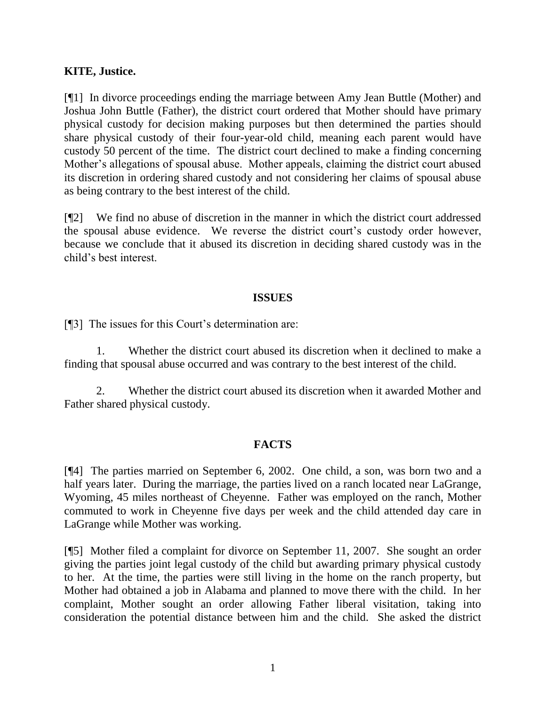### **KITE, Justice.**

[¶1] In divorce proceedings ending the marriage between Amy Jean Buttle (Mother) and Joshua John Buttle (Father), the district court ordered that Mother should have primary physical custody for decision making purposes but then determined the parties should share physical custody of their four-year-old child, meaning each parent would have custody 50 percent of the time. The district court declined to make a finding concerning Mother"s allegations of spousal abuse. Mother appeals, claiming the district court abused its discretion in ordering shared custody and not considering her claims of spousal abuse as being contrary to the best interest of the child.

[¶2] We find no abuse of discretion in the manner in which the district court addressed the spousal abuse evidence. We reverse the district court's custody order however, because we conclude that it abused its discretion in deciding shared custody was in the child"s best interest.

### **ISSUES**

[¶3] The issues for this Court's determination are:

1. Whether the district court abused its discretion when it declined to make a finding that spousal abuse occurred and was contrary to the best interest of the child.

2. Whether the district court abused its discretion when it awarded Mother and Father shared physical custody.

### **FACTS**

[¶4] The parties married on September 6, 2002. One child, a son, was born two and a half years later. During the marriage, the parties lived on a ranch located near LaGrange, Wyoming, 45 miles northeast of Cheyenne. Father was employed on the ranch, Mother commuted to work in Cheyenne five days per week and the child attended day care in LaGrange while Mother was working.

[¶5] Mother filed a complaint for divorce on September 11, 2007. She sought an order giving the parties joint legal custody of the child but awarding primary physical custody to her. At the time, the parties were still living in the home on the ranch property, but Mother had obtained a job in Alabama and planned to move there with the child. In her complaint, Mother sought an order allowing Father liberal visitation, taking into consideration the potential distance between him and the child. She asked the district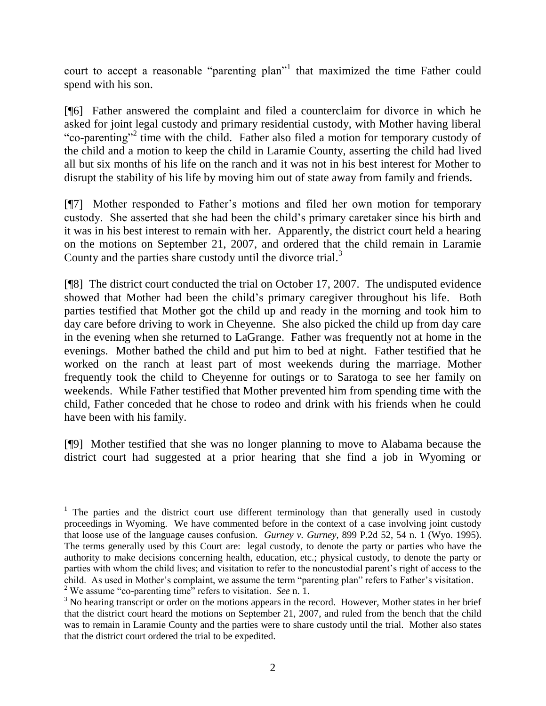court to accept a reasonable "parenting plan"<sup>1</sup> that maximized the time Father could spend with his son.

[¶6] Father answered the complaint and filed a counterclaim for divorce in which he asked for joint legal custody and primary residential custody, with Mother having liberal "co-parenting"<sup>2</sup> time with the child. Father also filed a motion for temporary custody of the child and a motion to keep the child in Laramie County, asserting the child had lived all but six months of his life on the ranch and it was not in his best interest for Mother to disrupt the stability of his life by moving him out of state away from family and friends.

[¶7] Mother responded to Father"s motions and filed her own motion for temporary custody. She asserted that she had been the child"s primary caretaker since his birth and it was in his best interest to remain with her. Apparently, the district court held a hearing on the motions on September 21, 2007, and ordered that the child remain in Laramie County and the parties share custody until the divorce trial.<sup>3</sup>

[¶8] The district court conducted the trial on October 17, 2007. The undisputed evidence showed that Mother had been the child"s primary caregiver throughout his life. Both parties testified that Mother got the child up and ready in the morning and took him to day care before driving to work in Cheyenne. She also picked the child up from day care in the evening when she returned to LaGrange. Father was frequently not at home in the evenings. Mother bathed the child and put him to bed at night. Father testified that he worked on the ranch at least part of most weekends during the marriage. Mother frequently took the child to Cheyenne for outings or to Saratoga to see her family on weekends. While Father testified that Mother prevented him from spending time with the child, Father conceded that he chose to rodeo and drink with his friends when he could have been with his family.

[¶9] Mother testified that she was no longer planning to move to Alabama because the district court had suggested at a prior hearing that she find a job in Wyoming or

<sup>&</sup>lt;sup>1</sup> The parties and the district court use different terminology than that generally used in custody proceedings in Wyoming. We have commented before in the context of a case involving joint custody that loose use of the language causes confusion. *Gurney v. Gurney*, 899 P.2d 52, 54 n. 1 (Wyo. 1995). The terms generally used by this Court are: legal custody, to denote the party or parties who have the authority to make decisions concerning health, education, etc.; physical custody, to denote the party or parties with whom the child lives; and visitation to refer to the noncustodial parent"s right of access to the child. As used in Mother's complaint, we assume the term "parenting plan" refers to Father's visitation.

<sup>2</sup> We assume "co-parenting time" refers to visitation. *See* n. 1.

 $3$  No hearing transcript or order on the motions appears in the record. However, Mother states in her brief that the district court heard the motions on September 21, 2007, and ruled from the bench that the child was to remain in Laramie County and the parties were to share custody until the trial. Mother also states that the district court ordered the trial to be expedited.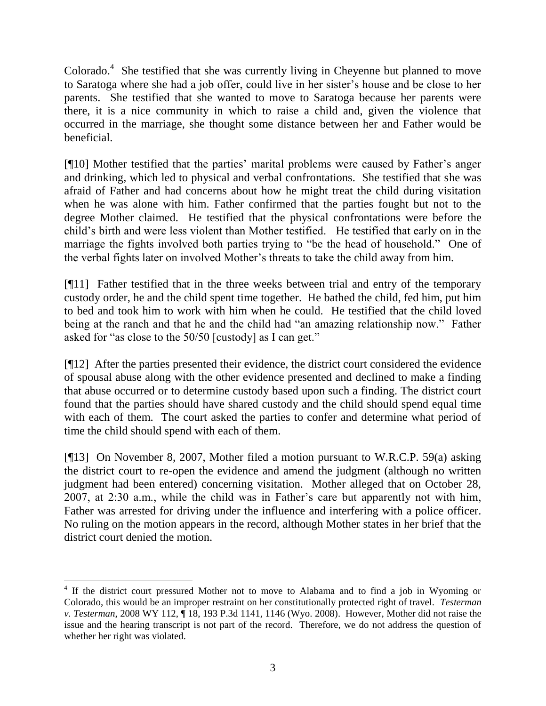Colorado. $4$  She testified that she was currently living in Cheyenne but planned to move to Saratoga where she had a job offer, could live in her sister's house and be close to her parents. She testified that she wanted to move to Saratoga because her parents were there, it is a nice community in which to raise a child and, given the violence that occurred in the marriage, she thought some distance between her and Father would be beneficial.

[¶10] Mother testified that the parties' marital problems were caused by Father's anger and drinking, which led to physical and verbal confrontations. She testified that she was afraid of Father and had concerns about how he might treat the child during visitation when he was alone with him. Father confirmed that the parties fought but not to the degree Mother claimed. He testified that the physical confrontations were before the child"s birth and were less violent than Mother testified. He testified that early on in the marriage the fights involved both parties trying to "be the head of household." One of the verbal fights later on involved Mother"s threats to take the child away from him.

[¶11] Father testified that in the three weeks between trial and entry of the temporary custody order, he and the child spent time together. He bathed the child, fed him, put him to bed and took him to work with him when he could. He testified that the child loved being at the ranch and that he and the child had "an amazing relationship now." Father asked for "as close to the 50/50 [custody] as I can get."

[¶12] After the parties presented their evidence, the district court considered the evidence of spousal abuse along with the other evidence presented and declined to make a finding that abuse occurred or to determine custody based upon such a finding. The district court found that the parties should have shared custody and the child should spend equal time with each of them. The court asked the parties to confer and determine what period of time the child should spend with each of them.

[¶13] On November 8, 2007, Mother filed a motion pursuant to W.R.C.P. 59(a) asking the district court to re-open the evidence and amend the judgment (although no written judgment had been entered) concerning visitation. Mother alleged that on October 28, 2007, at 2:30 a.m., while the child was in Father"s care but apparently not with him, Father was arrested for driving under the influence and interfering with a police officer. No ruling on the motion appears in the record, although Mother states in her brief that the district court denied the motion.

 4 If the district court pressured Mother not to move to Alabama and to find a job in Wyoming or Colorado, this would be an improper restraint on her constitutionally protected right of travel. *Testerman v. Testerman*, 2008 WY 112, ¶ 18, 193 P.3d 1141, 1146 (Wyo. 2008). However, Mother did not raise the issue and the hearing transcript is not part of the record. Therefore, we do not address the question of whether her right was violated.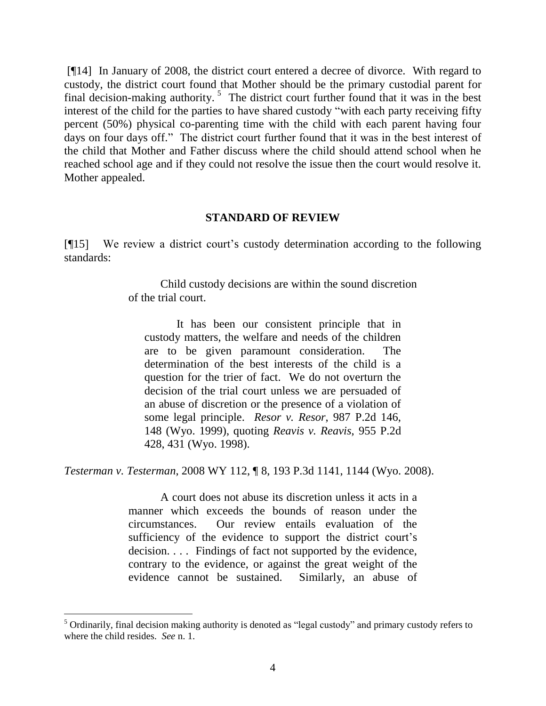[¶14] In January of 2008, the district court entered a decree of divorce. With regard to custody, the district court found that Mother should be the primary custodial parent for final decision-making authority.<sup>5</sup> The district court further found that it was in the best interest of the child for the parties to have shared custody "with each party receiving fifty percent (50%) physical co-parenting time with the child with each parent having four days on four days off." The district court further found that it was in the best interest of the child that Mother and Father discuss where the child should attend school when he reached school age and if they could not resolve the issue then the court would resolve it. Mother appealed.

#### **STANDARD OF REVIEW**

[¶15] We review a district court"s custody determination according to the following standards:

> Child custody decisions are within the sound discretion of the trial court.

It has been our consistent principle that in custody matters, the welfare and needs of the children are to be given paramount consideration. The determination of the best interests of the child is a question for the trier of fact. We do not overturn the decision of the trial court unless we are persuaded of an abuse of discretion or the presence of a violation of some legal principle. *Resor v. Resor*, 987 P.2d 146, 148 (Wyo. 1999), quoting *Reavis v. Reavis*, 955 P.2d 428, 431 (Wyo. 1998).

*Testerman v. Testerman*, 2008 WY 112, ¶ 8, 193 P.3d 1141, 1144 (Wyo. 2008).

A court does not abuse its discretion unless it acts in a manner which exceeds the bounds of reason under the circumstances. Our review entails evaluation of the sufficiency of the evidence to support the district court's decision. . . . Findings of fact not supported by the evidence, contrary to the evidence, or against the great weight of the evidence cannot be sustained. Similarly, an abuse of

l

<sup>&</sup>lt;sup>5</sup> Ordinarily, final decision making authority is denoted as "legal custody" and primary custody refers to where the child resides. *See* n. 1.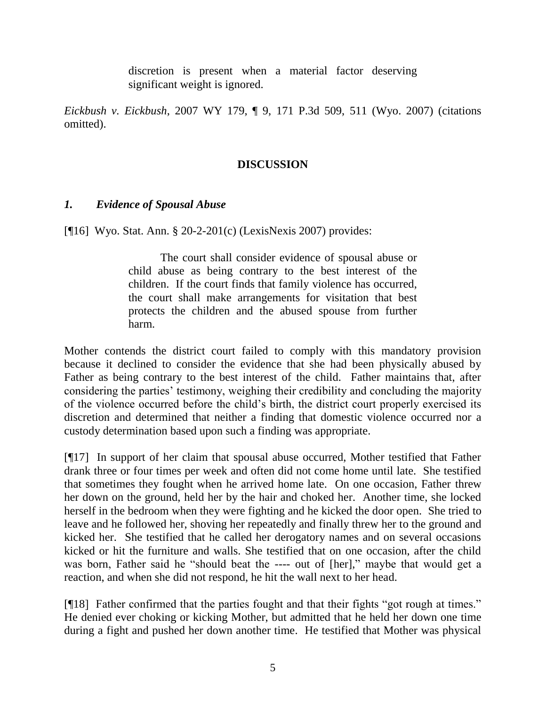discretion is present when a material factor deserving significant weight is ignored.

*Eickbush v. Eickbush*, 2007 WY 179, ¶ 9, 171 P.3d 509, 511 (Wyo. 2007) (citations omitted).

## **DISCUSSION**

### *1. Evidence of Spousal Abuse*

[¶16] Wyo. Stat. Ann. § 20-2-201(c) (LexisNexis 2007) provides:

The court shall consider evidence of spousal abuse or child abuse as being contrary to the best interest of the children. If the court finds that family violence has occurred, the court shall make arrangements for visitation that best protects the children and the abused spouse from further harm.

Mother contends the district court failed to comply with this mandatory provision because it declined to consider the evidence that she had been physically abused by Father as being contrary to the best interest of the child. Father maintains that, after considering the parties' testimony, weighing their credibility and concluding the majority of the violence occurred before the child"s birth, the district court properly exercised its discretion and determined that neither a finding that domestic violence occurred nor a custody determination based upon such a finding was appropriate.

[¶17] In support of her claim that spousal abuse occurred, Mother testified that Father drank three or four times per week and often did not come home until late. She testified that sometimes they fought when he arrived home late. On one occasion, Father threw her down on the ground, held her by the hair and choked her. Another time, she locked herself in the bedroom when they were fighting and he kicked the door open. She tried to leave and he followed her, shoving her repeatedly and finally threw her to the ground and kicked her. She testified that he called her derogatory names and on several occasions kicked or hit the furniture and walls. She testified that on one occasion, after the child was born, Father said he "should beat the ---- out of [her]," maybe that would get a reaction, and when she did not respond, he hit the wall next to her head.

[¶18] Father confirmed that the parties fought and that their fights "got rough at times." He denied ever choking or kicking Mother, but admitted that he held her down one time during a fight and pushed her down another time. He testified that Mother was physical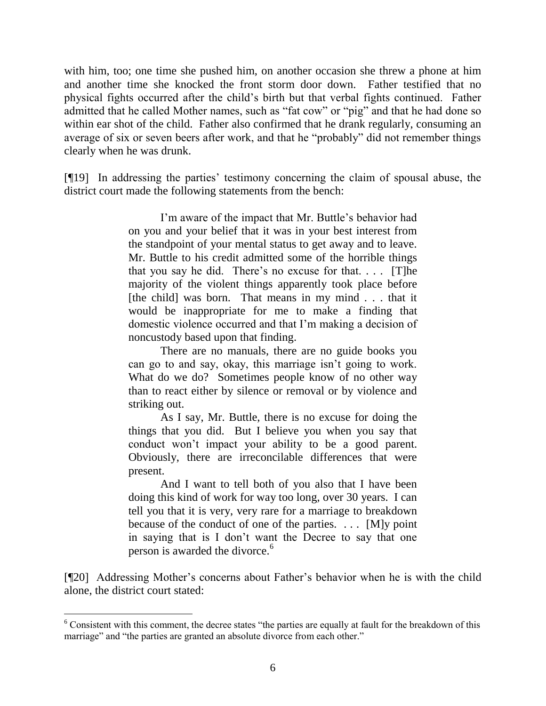with him, too; one time she pushed him, on another occasion she threw a phone at him and another time she knocked the front storm door down. Father testified that no physical fights occurred after the child"s birth but that verbal fights continued. Father admitted that he called Mother names, such as "fat cow" or "pig" and that he had done so within ear shot of the child. Father also confirmed that he drank regularly, consuming an average of six or seven beers after work, and that he "probably" did not remember things clearly when he was drunk.

[¶19] In addressing the parties" testimony concerning the claim of spousal abuse, the district court made the following statements from the bench:

> I'm aware of the impact that Mr. Buttle's behavior had on you and your belief that it was in your best interest from the standpoint of your mental status to get away and to leave. Mr. Buttle to his credit admitted some of the horrible things that you say he did. There's no excuse for that....  $[T]$ he majority of the violent things apparently took place before [the child] was born. That means in my mind . . . that it would be inappropriate for me to make a finding that domestic violence occurred and that I"m making a decision of noncustody based upon that finding.

> There are no manuals, there are no guide books you can go to and say, okay, this marriage isn"t going to work. What do we do? Sometimes people know of no other way than to react either by silence or removal or by violence and striking out.

> As I say, Mr. Buttle, there is no excuse for doing the things that you did. But I believe you when you say that conduct won"t impact your ability to be a good parent. Obviously, there are irreconcilable differences that were present.

> And I want to tell both of you also that I have been doing this kind of work for way too long, over 30 years. I can tell you that it is very, very rare for a marriage to breakdown because of the conduct of one of the parties. . . . [M]y point in saying that is I don"t want the Decree to say that one person is awarded the divorce.<sup>6</sup>

[¶20] Addressing Mother's concerns about Father's behavior when he is with the child alone, the district court stated:

l

<sup>&</sup>lt;sup>6</sup> Consistent with this comment, the decree states "the parties are equally at fault for the breakdown of this marriage" and "the parties are granted an absolute divorce from each other."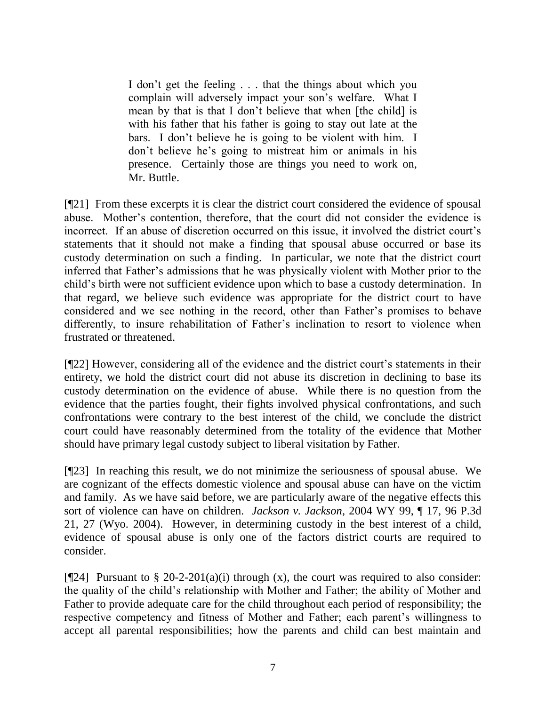I don"t get the feeling . . . that the things about which you complain will adversely impact your son"s welfare. What I mean by that is that I don"t believe that when [the child] is with his father that his father is going to stay out late at the bars. I don"t believe he is going to be violent with him. I don't believe he's going to mistreat him or animals in his presence. Certainly those are things you need to work on, Mr. Buttle.

[¶21] From these excerpts it is clear the district court considered the evidence of spousal abuse. Mother"s contention, therefore, that the court did not consider the evidence is incorrect. If an abuse of discretion occurred on this issue, it involved the district court's statements that it should not make a finding that spousal abuse occurred or base its custody determination on such a finding. In particular, we note that the district court inferred that Father"s admissions that he was physically violent with Mother prior to the child"s birth were not sufficient evidence upon which to base a custody determination. In that regard, we believe such evidence was appropriate for the district court to have considered and we see nothing in the record, other than Father"s promises to behave differently, to insure rehabilitation of Father's inclination to resort to violence when frustrated or threatened.

[¶22] However, considering all of the evidence and the district court"s statements in their entirety, we hold the district court did not abuse its discretion in declining to base its custody determination on the evidence of abuse. While there is no question from the evidence that the parties fought, their fights involved physical confrontations, and such confrontations were contrary to the best interest of the child, we conclude the district court could have reasonably determined from the totality of the evidence that Mother should have primary legal custody subject to liberal visitation by Father.

[¶23] In reaching this result, we do not minimize the seriousness of spousal abuse. We are cognizant of the effects domestic violence and spousal abuse can have on the victim and family. As we have said before, we are particularly aware of the negative effects this sort of violence can have on children. *Jackson v. Jackson*, 2004 WY 99, ¶ 17, 96 P.3d 21, 27 (Wyo. 2004). However, in determining custody in the best interest of a child, evidence of spousal abuse is only one of the factors district courts are required to consider.

[ $[$ [24] Pursuant to § 20-2-201(a)(i) through (x), the court was required to also consider: the quality of the child"s relationship with Mother and Father; the ability of Mother and Father to provide adequate care for the child throughout each period of responsibility; the respective competency and fitness of Mother and Father; each parent's willingness to accept all parental responsibilities; how the parents and child can best maintain and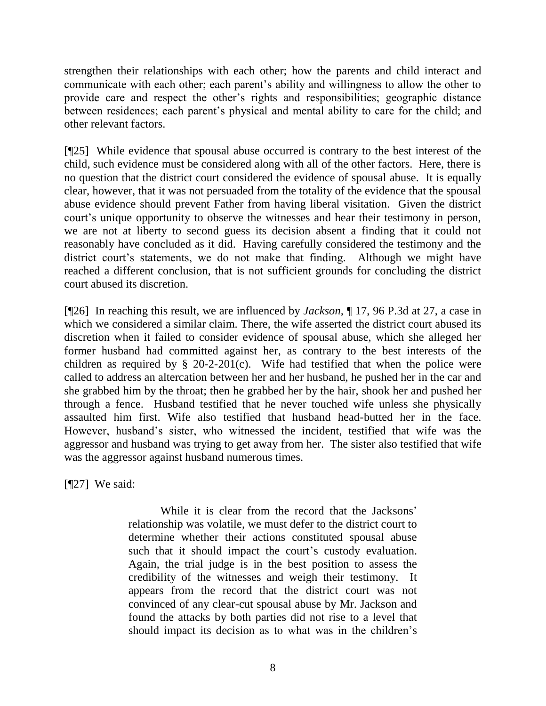strengthen their relationships with each other; how the parents and child interact and communicate with each other; each parent's ability and willingness to allow the other to provide care and respect the other"s rights and responsibilities; geographic distance between residences; each parent's physical and mental ability to care for the child; and other relevant factors.

[¶25] While evidence that spousal abuse occurred is contrary to the best interest of the child, such evidence must be considered along with all of the other factors. Here, there is no question that the district court considered the evidence of spousal abuse. It is equally clear, however, that it was not persuaded from the totality of the evidence that the spousal abuse evidence should prevent Father from having liberal visitation. Given the district court's unique opportunity to observe the witnesses and hear their testimony in person, we are not at liberty to second guess its decision absent a finding that it could not reasonably have concluded as it did. Having carefully considered the testimony and the district court's statements, we do not make that finding. Although we might have reached a different conclusion, that is not sufficient grounds for concluding the district court abused its discretion.

[¶26] In reaching this result, we are influenced by *Jackson,* ¶ 17, 96 P.3d at 27, a case in which we considered a similar claim. There, the wife asserted the district court abused its discretion when it failed to consider evidence of spousal abuse, which she alleged her former husband had committed against her, as contrary to the best interests of the children as required by  $\S$  20-2-201(c). Wife had testified that when the police were called to address an altercation between her and her husband, he pushed her in the car and she grabbed him by the throat; then he grabbed her by the hair, shook her and pushed her through a fence. Husband testified that he never touched wife unless she physically assaulted him first. Wife also testified that husband head-butted her in the face. However, husband"s sister, who witnessed the incident, testified that wife was the aggressor and husband was trying to get away from her. The sister also testified that wife was the aggressor against husband numerous times.

[¶27] We said:

While it is clear from the record that the Jacksons' relationship was volatile, we must defer to the district court to determine whether their actions constituted spousal abuse such that it should impact the court's custody evaluation. Again, the trial judge is in the best position to assess the credibility of the witnesses and weigh their testimony. It appears from the record that the district court was not convinced of any clear-cut spousal abuse by Mr. Jackson and found the attacks by both parties did not rise to a level that should impact its decision as to what was in the children"s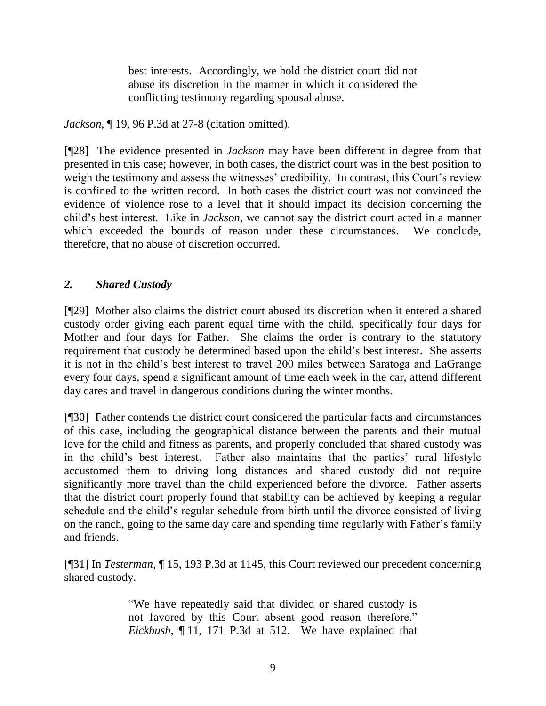best interests. Accordingly, we hold the district court did not abuse its discretion in the manner in which it considered the conflicting testimony regarding spousal abuse.

*Jackson*, ¶ 19, 96 P.3d at 27-8 (citation omitted).

[¶28] The evidence presented in *Jackson* may have been different in degree from that presented in this case; however, in both cases, the district court was in the best position to weigh the testimony and assess the witnesses' credibility. In contrast, this Court's review is confined to the written record. In both cases the district court was not convinced the evidence of violence rose to a level that it should impact its decision concerning the child"s best interest. Like in *Jackson*, we cannot say the district court acted in a manner which exceeded the bounds of reason under these circumstances. We conclude, therefore, that no abuse of discretion occurred.

# *2. Shared Custody*

[¶29] Mother also claims the district court abused its discretion when it entered a shared custody order giving each parent equal time with the child, specifically four days for Mother and four days for Father. She claims the order is contrary to the statutory requirement that custody be determined based upon the child"s best interest. She asserts it is not in the child"s best interest to travel 200 miles between Saratoga and LaGrange every four days, spend a significant amount of time each week in the car, attend different day cares and travel in dangerous conditions during the winter months.

[¶30] Father contends the district court considered the particular facts and circumstances of this case, including the geographical distance between the parents and their mutual love for the child and fitness as parents, and properly concluded that shared custody was in the child's best interest. Father also maintains that the parties' rural lifestyle accustomed them to driving long distances and shared custody did not require significantly more travel than the child experienced before the divorce. Father asserts that the district court properly found that stability can be achieved by keeping a regular schedule and the child"s regular schedule from birth until the divorce consisted of living on the ranch, going to the same day care and spending time regularly with Father"s family and friends.

[¶31] In *Testerman*, ¶ 15, 193 P.3d at 1145, this Court reviewed our precedent concerning shared custody.

> "We have repeatedly said that divided or shared custody is not favored by this Court absent good reason therefore." *Eickbush*, ¶ 11, 171 P.3d at 512. We have explained that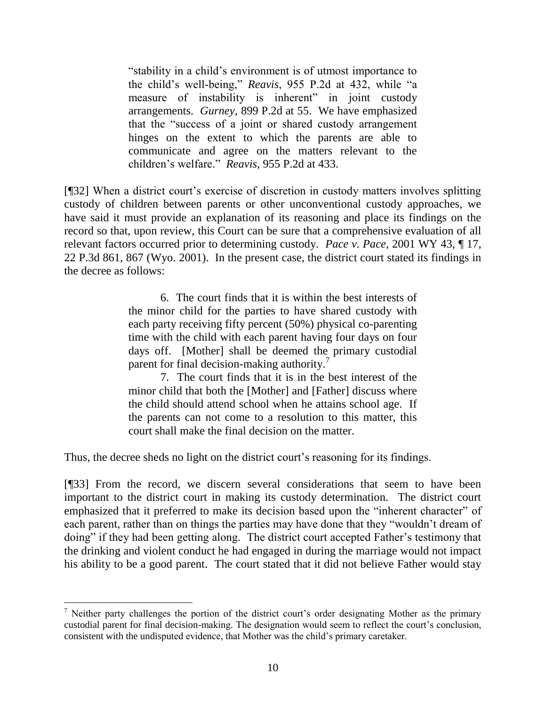"stability in a child"s environment is of utmost importance to the child"s well-being," *Reavis*, 955 P.2d at 432, while "a measure of instability is inherent" in joint custody arrangements. *Gurney*, 899 P.2d at 55. We have emphasized that the "success of a joint or shared custody arrangement hinges on the extent to which the parents are able to communicate and agree on the matters relevant to the children"s welfare." *Reavis*, 955 P.2d at 433.

[¶32] When a district court"s exercise of discretion in custody matters involves splitting custody of children between parents or other unconventional custody approaches, we have said it must provide an explanation of its reasoning and place its findings on the record so that, upon review, this Court can be sure that a comprehensive evaluation of all relevant factors occurred prior to determining custody. *Pace v. Pace*, 2001 WY 43, ¶ 17, 22 P.3d 861, 867 (Wyo. 2001). In the present case, the district court stated its findings in the decree as follows:

> 6. The court finds that it is within the best interests of the minor child for the parties to have shared custody with each party receiving fifty percent (50%) physical co-parenting time with the child with each parent having four days on four days off. [Mother] shall be deemed the primary custodial parent for final decision-making authority.<sup>7</sup>

> 7. The court finds that it is in the best interest of the minor child that both the [Mother] and [Father] discuss where the child should attend school when he attains school age. If the parents can not come to a resolution to this matter, this court shall make the final decision on the matter.

Thus, the decree sheds no light on the district court's reasoning for its findings.

[¶33] From the record, we discern several considerations that seem to have been important to the district court in making its custody determination. The district court emphasized that it preferred to make its decision based upon the "inherent character" of each parent, rather than on things the parties may have done that they "wouldn"t dream of doing" if they had been getting along. The district court accepted Father's testimony that the drinking and violent conduct he had engaged in during the marriage would not impact his ability to be a good parent. The court stated that it did not believe Father would stay

 $<sup>7</sup>$  Neither party challenges the portion of the district court's order designating Mother as the primary</sup> custodial parent for final decision-making. The designation would seem to reflect the court"s conclusion, consistent with the undisputed evidence, that Mother was the child"s primary caretaker.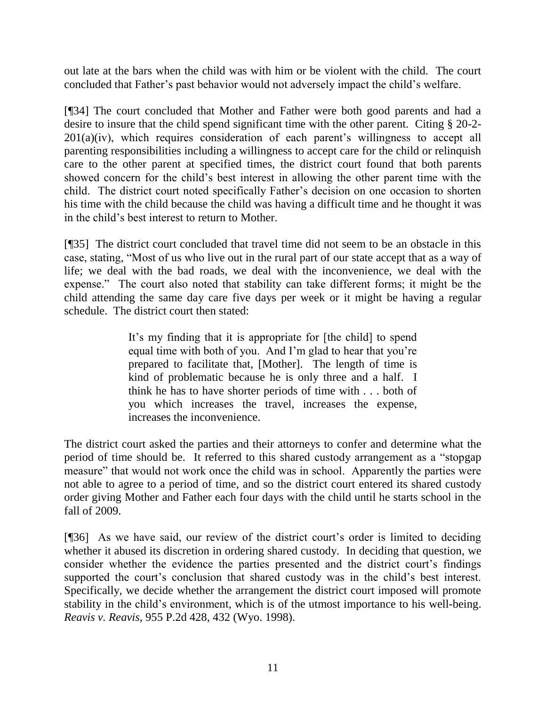out late at the bars when the child was with him or be violent with the child. The court concluded that Father"s past behavior would not adversely impact the child"s welfare.

[¶34] The court concluded that Mother and Father were both good parents and had a desire to insure that the child spend significant time with the other parent. Citing § 20-2-  $201(a)(iv)$ , which requires consideration of each parent's willingness to accept all parenting responsibilities including a willingness to accept care for the child or relinquish care to the other parent at specified times, the district court found that both parents showed concern for the child"s best interest in allowing the other parent time with the child. The district court noted specifically Father"s decision on one occasion to shorten his time with the child because the child was having a difficult time and he thought it was in the child"s best interest to return to Mother.

[¶35] The district court concluded that travel time did not seem to be an obstacle in this case, stating, "Most of us who live out in the rural part of our state accept that as a way of life; we deal with the bad roads, we deal with the inconvenience, we deal with the expense." The court also noted that stability can take different forms; it might be the child attending the same day care five days per week or it might be having a regular schedule. The district court then stated:

> It's my finding that it is appropriate for [the child] to spend equal time with both of you. And I"m glad to hear that you"re prepared to facilitate that, [Mother]. The length of time is kind of problematic because he is only three and a half. I think he has to have shorter periods of time with . . . both of you which increases the travel, increases the expense, increases the inconvenience.

The district court asked the parties and their attorneys to confer and determine what the period of time should be. It referred to this shared custody arrangement as a "stopgap measure" that would not work once the child was in school. Apparently the parties were not able to agree to a period of time, and so the district court entered its shared custody order giving Mother and Father each four days with the child until he starts school in the fall of 2009.

[¶36] As we have said, our review of the district court's order is limited to deciding whether it abused its discretion in ordering shared custody. In deciding that question, we consider whether the evidence the parties presented and the district court's findings supported the court's conclusion that shared custody was in the child's best interest. Specifically, we decide whether the arrangement the district court imposed will promote stability in the child's environment, which is of the utmost importance to his well-being. *Reavis v. Reavis,* 955 P.2d 428, 432 (Wyo. 1998).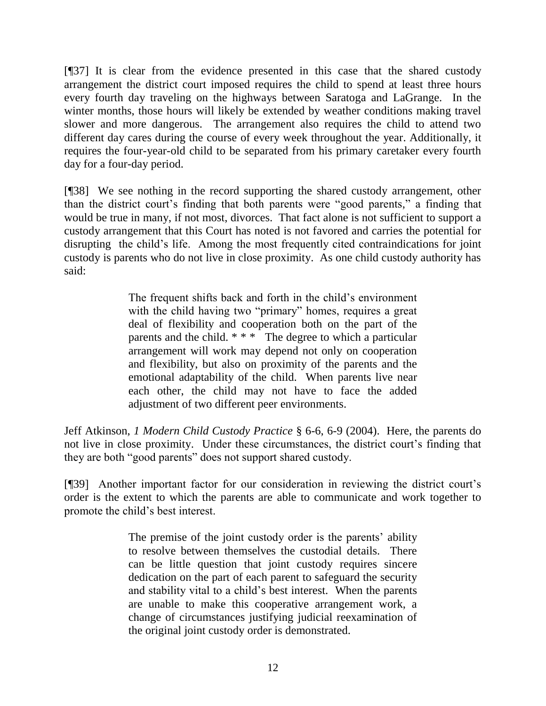[¶37] It is clear from the evidence presented in this case that the shared custody arrangement the district court imposed requires the child to spend at least three hours every fourth day traveling on the highways between Saratoga and LaGrange. In the winter months, those hours will likely be extended by weather conditions making travel slower and more dangerous. The arrangement also requires the child to attend two different day cares during the course of every week throughout the year. Additionally, it requires the four-year-old child to be separated from his primary caretaker every fourth day for a four-day period.

[¶38] We see nothing in the record supporting the shared custody arrangement, other than the district court's finding that both parents were "good parents," a finding that would be true in many, if not most, divorces. That fact alone is not sufficient to support a custody arrangement that this Court has noted is not favored and carries the potential for disrupting the child"s life. Among the most frequently cited contraindications for joint custody is parents who do not live in close proximity. As one child custody authority has said:

> The frequent shifts back and forth in the child's environment with the child having two "primary" homes, requires a great deal of flexibility and cooperation both on the part of the parents and the child. \* \* \* The degree to which a particular arrangement will work may depend not only on cooperation and flexibility, but also on proximity of the parents and the emotional adaptability of the child. When parents live near each other, the child may not have to face the added adjustment of two different peer environments.

Jeff Atkinson, *1 Modern Child Custody Practice* § 6-6, 6-9 (2004). Here, the parents do not live in close proximity. Under these circumstances, the district court's finding that they are both "good parents" does not support shared custody.

[¶39] Another important factor for our consideration in reviewing the district court"s order is the extent to which the parents are able to communicate and work together to promote the child"s best interest.

> The premise of the joint custody order is the parents' ability to resolve between themselves the custodial details. There can be little question that joint custody requires sincere dedication on the part of each parent to safeguard the security and stability vital to a child"s best interest. When the parents are unable to make this cooperative arrangement work, a change of circumstances justifying judicial reexamination of the original joint custody order is demonstrated.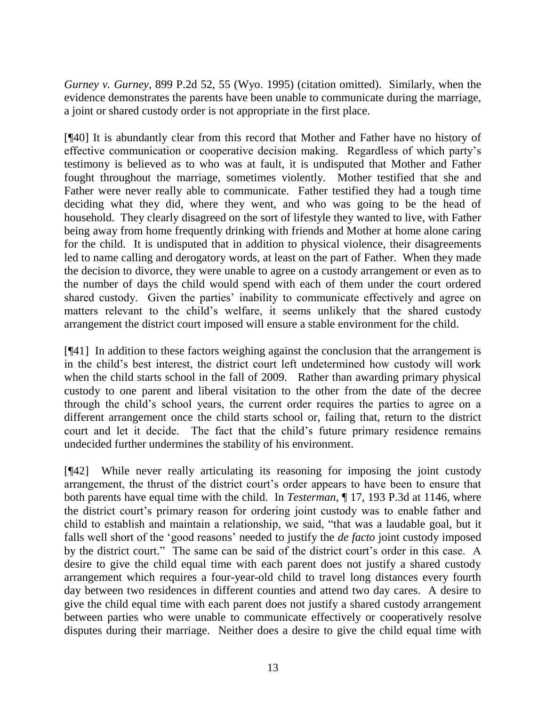*Gurney v. Gurney*, 899 P.2d 52, 55 (Wyo. 1995) (citation omitted). Similarly, when the evidence demonstrates the parents have been unable to communicate during the marriage, a joint or shared custody order is not appropriate in the first place.

[¶40] It is abundantly clear from this record that Mother and Father have no history of effective communication or cooperative decision making. Regardless of which party"s testimony is believed as to who was at fault, it is undisputed that Mother and Father fought throughout the marriage, sometimes violently. Mother testified that she and Father were never really able to communicate. Father testified they had a tough time deciding what they did, where they went, and who was going to be the head of household. They clearly disagreed on the sort of lifestyle they wanted to live, with Father being away from home frequently drinking with friends and Mother at home alone caring for the child. It is undisputed that in addition to physical violence, their disagreements led to name calling and derogatory words, at least on the part of Father. When they made the decision to divorce, they were unable to agree on a custody arrangement or even as to the number of days the child would spend with each of them under the court ordered shared custody. Given the parties' inability to communicate effectively and agree on matters relevant to the child"s welfare, it seems unlikely that the shared custody arrangement the district court imposed will ensure a stable environment for the child.

[¶41] In addition to these factors weighing against the conclusion that the arrangement is in the child"s best interest, the district court left undetermined how custody will work when the child starts school in the fall of 2009. Rather than awarding primary physical custody to one parent and liberal visitation to the other from the date of the decree through the child"s school years, the current order requires the parties to agree on a different arrangement once the child starts school or, failing that, return to the district court and let it decide. The fact that the child"s future primary residence remains undecided further undermines the stability of his environment.

[¶42] While never really articulating its reasoning for imposing the joint custody arrangement, the thrust of the district court's order appears to have been to ensure that both parents have equal time with the child. In *Testerman*, ¶ 17, 193 P.3d at 1146, where the district court"s primary reason for ordering joint custody was to enable father and child to establish and maintain a relationship, we said, "that was a laudable goal, but it falls well short of the 'good reasons' needed to justify the *de facto* joint custody imposed by the district court." The same can be said of the district court's order in this case. A desire to give the child equal time with each parent does not justify a shared custody arrangement which requires a four-year-old child to travel long distances every fourth day between two residences in different counties and attend two day cares. A desire to give the child equal time with each parent does not justify a shared custody arrangement between parties who were unable to communicate effectively or cooperatively resolve disputes during their marriage. Neither does a desire to give the child equal time with